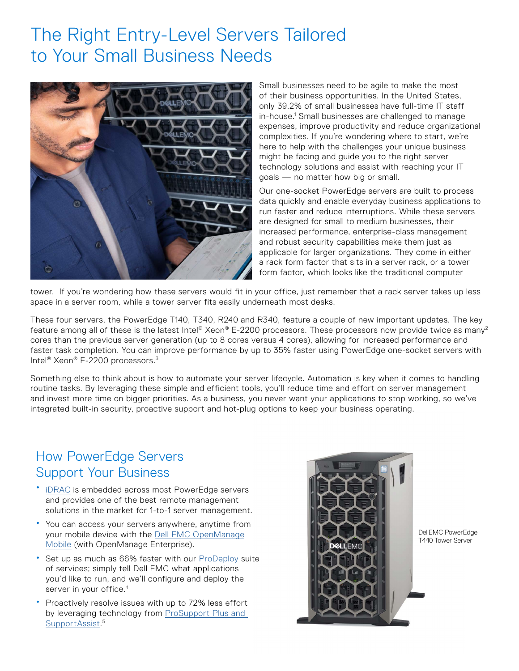# The Right Entry-Level Servers Tailored to Your Small Business Needs



Small businesses need to be agile to make the most of their business opportunities. In the United States, only 39.2% of small businesses have full-time IT staff in-house.<sup>1</sup> Small businesses are challenged to manage expenses, improve productivity and reduce organizational complexities. If you're wondering where to start, we're here to help with the challenges your unique business might be facing and guide you to the right server technology solutions and assist with reaching your IT goals — no matter how big or small.

Our one-socket PowerEdge servers are built to process data quickly and enable everyday business applications to run faster and reduce interruptions. While these servers are designed for small to medium businesses, their increased performance, enterprise-class management and robust security capabilities make them just as applicable for larger organizations. They come in either a rack form factor that sits in a server rack, or a tower form factor, which looks like the traditional computer

tower. If you're wondering how these servers would fit in your office, just remember that a rack server takes up less space in a server room, while a tower server fits easily underneath most desks.

These four servers, the PowerEdge T140, T340, R240 and R340, feature a couple of new important updates. The key feature among all of these is the latest Intel® Xeon® E-2200 processors. These processors now provide twice as many<sup>2</sup> cores than the previous server generation (up to 8 cores versus 4 cores), allowing for increased performance and faster task completion. You can improve performance by up to 35% faster using PowerEdge one-socket servers with Intel<sup>®</sup> Xeon<sup>®</sup> E-2200 processors.<sup>3</sup>

Something else to think about is how to automate your server lifecycle. Automation is key when it comes to handling routine tasks. By leveraging these simple and efficient tools, you'll reduce time and effort on server management and invest more time on bigger priorities. As a business, you never want your applications to stop working, so we've integrated built-in security, proactive support and hot-plug options to keep your business operating.

# How PowerEdge Servers Support Your Business

- [iDRAC](https://www.delltechnologies.com/en-us/solutions/openmanage/idrac.htm) is embedded across most PowerEdge servers and provides one of the best remote management solutions in the market for 1-to-1 server management.
- You can access your servers anywhere, anytime from your mobile device with the [Dell EMC OpenManage](https://www.delltechnologies.com/en-us/solutions/openmanage/mobile.htm) Mobile (with OpenManage Enterprise).
- Set up as much as 66% faster with our [ProDeploy](https://www.delltechnologies.com/en-us/services/deployment-services/prodeploy-client.htm#accordion0) suite of services; simply tell Dell EMC what applications you'd like to run, and we'll configure and deploy the server in your office.<sup>4</sup>
- Proactively resolve issues with up to 72% less effort by leveraging technology from ProSupport Plus and [SupportAssist](https://www.principledtechnologies.com/Dell/ProSupport_Plus_with_SupportAssist_for_servers_0618.pdf).<sup>5</sup>



DellEMC PowerEdge T440 Tower Server